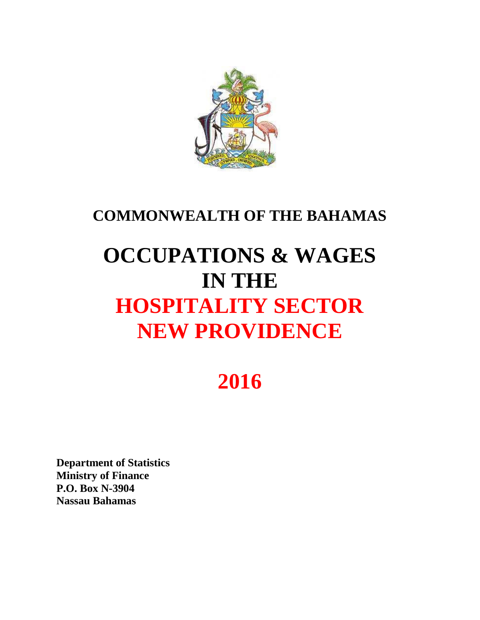

### **COMMONWEALTH OF THE BAHAMAS**

# **OCCUPATIONS & WAGES IN THE HOSPITALITY SECTOR NEW PROVIDENCE**

## **2016**

**Department of Statistics Ministry of Finance P.O. Box N-3904 Nassau Bahamas**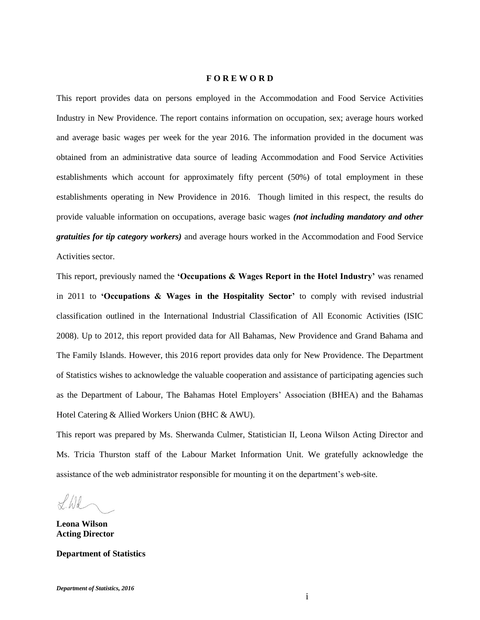#### **F O R E W O R D**

This report provides data on persons employed in the Accommodation and Food Service Activities Industry in New Providence. The report contains information on occupation, sex; average hours worked and average basic wages per week for the year 2016. The information provided in the document was obtained from an administrative data source of leading Accommodation and Food Service Activities establishments which account for approximately fifty percent (50%) of total employment in these establishments operating in New Providence in 2016. Though limited in this respect, the results do provide valuable information on occupations, average basic wages *(not including mandatory and other gratuities for tip category workers)* and average hours worked in the Accommodation and Food Service Activities sector.

This report, previously named the **'Occupations & Wages Report in the Hotel Industry'** was renamed in 2011 to **'Occupations & Wages in the Hospitality Sector'** to comply with revised industrial classification outlined in the International Industrial Classification of All Economic Activities (ISIC 2008). Up to 2012, this report provided data for All Bahamas, New Providence and Grand Bahama and The Family Islands. However, this 2016 report provides data only for New Providence. The Department of Statistics wishes to acknowledge the valuable cooperation and assistance of participating agencies such as the Department of Labour, The Bahamas Hotel Employers' Association (BHEA) and the Bahamas Hotel Catering & Allied Workers Union (BHC & AWU).

This report was prepared by Ms. Sherwanda Culmer, Statistician II, Leona Wilson Acting Director and Ms. Tricia Thurston staff of the Labour Market Information Unit. We gratefully acknowledge the assistance of the web administrator responsible for mounting it on the department's web-site.

 $H$ 

**Leona Wilson Acting Director**

**Department of Statistics**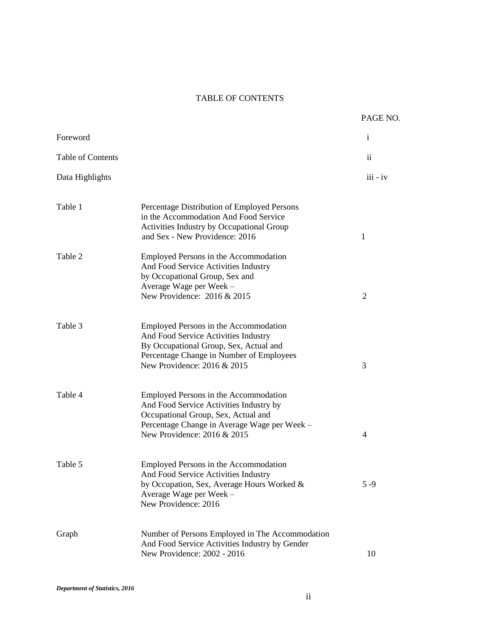#### TABLE OF CONTENTS

|                          |                                                                                                                                                                                                        | PAGE NO.       |
|--------------------------|--------------------------------------------------------------------------------------------------------------------------------------------------------------------------------------------------------|----------------|
| Foreword                 |                                                                                                                                                                                                        | $\mathbf{i}$   |
| <b>Table of Contents</b> |                                                                                                                                                                                                        | $\mathbf{ii}$  |
| Data Highlights          |                                                                                                                                                                                                        | $iii - iv$     |
| Table 1                  | Percentage Distribution of Employed Persons<br>in the Accommodation And Food Service<br>Activities Industry by Occupational Group<br>and Sex - New Providence: 2016                                    | $\mathbf{1}$   |
| Table 2                  | Employed Persons in the Accommodation<br>And Food Service Activities Industry<br>by Occupational Group, Sex and<br>Average Wage per Week -<br>New Providence: 2016 & 2015                              | $\overline{2}$ |
| Table 3                  | Employed Persons in the Accommodation<br>And Food Service Activities Industry<br>By Occupational Group, Sex, Actual and<br>Percentage Change in Number of Employees<br>New Providence: 2016 & 2015     | 3              |
| Table 4                  | Employed Persons in the Accommodation<br>And Food Service Activities Industry by<br>Occupational Group, Sex, Actual and<br>Percentage Change in Average Wage per Week -<br>New Providence: 2016 & 2015 | 4              |
| Table 5                  | Employed Persons in the Accommodation<br>And Food Service Activities Industry<br>by Occupation, Sex, Average Hours Worked &<br>Average Wage per Week -<br>New Providence: 2016                         | $5 - 9$        |
| Graph                    | Number of Persons Employed in The Accommodation<br>And Food Service Activities Industry by Gender<br>New Providence: 2002 - 2016                                                                       | 10             |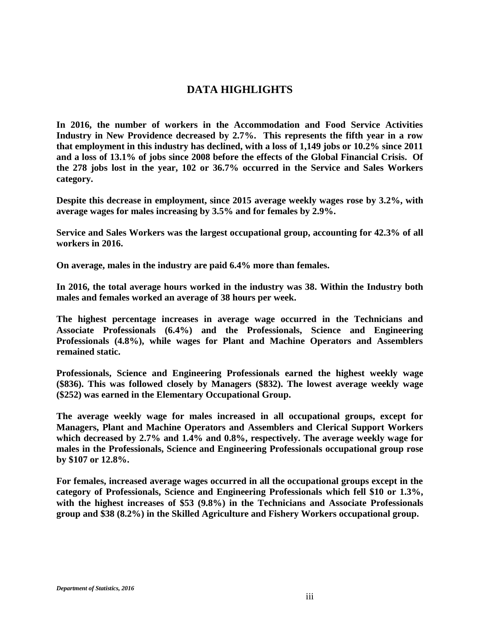### **DATA HIGHLIGHTS**

**In 2016, the number of workers in the Accommodation and Food Service Activities Industry in New Providence decreased by 2.7%. This represents the fifth year in a row that employment in this industry has declined, with a loss of 1,149 jobs or 10.2% since 2011 and a loss of 13.1% of jobs since 2008 before the effects of the Global Financial Crisis. Of the 278 jobs lost in the year, 102 or 36.7% occurred in the Service and Sales Workers category.**

**Despite this decrease in employment, since 2015 average weekly wages rose by 3.2%, with average wages for males increasing by 3.5% and for females by 2.9%.**

**Service and Sales Workers was the largest occupational group, accounting for 42.3% of all workers in 2016.**

**On average, males in the industry are paid 6.4% more than females.**

**In 2016, the total average hours worked in the industry was 38. Within the Industry both males and females worked an average of 38 hours per week.**

**The highest percentage increases in average wage occurred in the Technicians and Associate Professionals (6.4%) and the Professionals, Science and Engineering Professionals (4.8%), while wages for Plant and Machine Operators and Assemblers remained static.**

**Professionals, Science and Engineering Professionals earned the highest weekly wage (\$836). This was followed closely by Managers (\$832). The lowest average weekly wage (\$252) was earned in the Elementary Occupational Group.**

**The average weekly wage for males increased in all occupational groups, except for Managers, Plant and Machine Operators and Assemblers and Clerical Support Workers which decreased by 2.7% and 1.4% and 0.8%, respectively. The average weekly wage for males in the Professionals, Science and Engineering Professionals occupational group rose by \$107 or 12.8%.**

**For females, increased average wages occurred in all the occupational groups except in the category of Professionals, Science and Engineering Professionals which fell \$10 or 1.3%, with the highest increases of \$53 (9.8%) in the Technicians and Associate Professionals group and \$38 (8.2%) in the Skilled Agriculture and Fishery Workers occupational group.**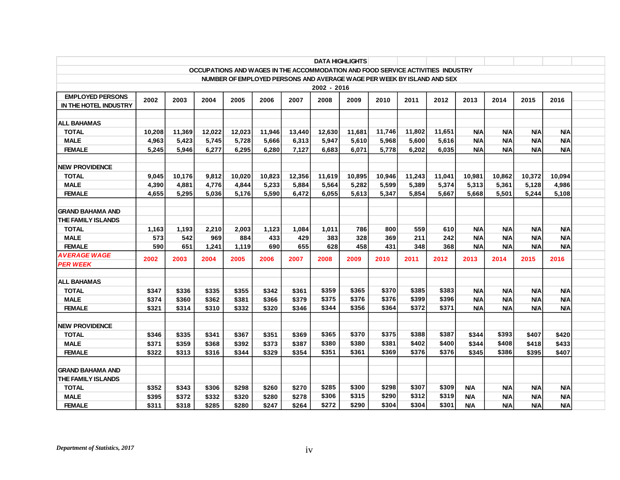|                                                                                 |                                                                        |        |        |        |        |        |        | <b>DATA HIGHLIGHTS</b> |        |        |        |            |            |            |            |  |
|---------------------------------------------------------------------------------|------------------------------------------------------------------------|--------|--------|--------|--------|--------|--------|------------------------|--------|--------|--------|------------|------------|------------|------------|--|
| OCCUPATIONS AND WAGES IN THE ACCOMMODATION AND FOOD SERVICE ACTIVITIES INDUSTRY |                                                                        |        |        |        |        |        |        |                        |        |        |        |            |            |            |            |  |
|                                                                                 | NUMBER OF EMPLOYED PERSONS AND AVERAGE WAGE PER WEEK BY ISLAND AND SEX |        |        |        |        |        |        |                        |        |        |        |            |            |            |            |  |
| $2002 - 2016$                                                                   |                                                                        |        |        |        |        |        |        |                        |        |        |        |            |            |            |            |  |
| <b>EMPLOYED PERSONS</b>                                                         | 2002                                                                   | 2003   | 2004   | 2005   | 2006   | 2007   | 2008   | 2009                   | 2010   | 2011   | 2012   | 2013       | 2014       | 2015       | 2016       |  |
| IN THE HOTEL INDUSTRY                                                           |                                                                        |        |        |        |        |        |        |                        |        |        |        |            |            |            |            |  |
|                                                                                 |                                                                        |        |        |        |        |        |        |                        |        |        |        |            |            |            |            |  |
| <b>ALL BAHAMAS</b>                                                              |                                                                        |        |        |        |        |        |        |                        |        |        |        |            |            |            |            |  |
| <b>TOTAL</b>                                                                    | 10,208                                                                 | 11,369 | 12,022 | 12,023 | 11,946 | 13,440 | 12,630 | 11,681                 | 11,746 | 11,802 | 11,651 | <b>N/A</b> | <b>N/A</b> | <b>N/A</b> | <b>N/A</b> |  |
| <b>MALE</b>                                                                     | 4,963                                                                  | 5.423  | 5.745  | 5,728  | 5.666  | 6.313  | 5.947  | 5.610                  | 5.968  | 5.600  | 5.616  | <b>N/A</b> | <b>N/A</b> | <b>N/A</b> | <b>N/A</b> |  |
| <b>FEMALE</b>                                                                   | 5,245                                                                  | 5,946  | 6,277  | 6,295  | 6,280  | 7,127  | 6,683  | 6.071                  | 5,778  | 6,202  | 6,035  | <b>N/A</b> | <b>N/A</b> | <b>N/A</b> | <b>N/A</b> |  |
| <b>NEW PROVIDENCE</b>                                                           |                                                                        |        |        |        |        |        |        |                        |        |        |        |            |            |            |            |  |
| <b>TOTAL</b>                                                                    | 9.045                                                                  | 10.176 | 9.812  | 10.020 | 10.823 | 12.356 | 11.619 | 10.895                 | 10.946 | 11.243 | 11.041 | 10.981     | 10.862     | 10.372     | 10.094     |  |
| <b>MALE</b>                                                                     | 4,390                                                                  | 4.881  | 4.776  | 4.844  | 5,233  | 5.884  | 5.564  | 5,282                  | 5.599  | 5,389  | 5.374  | 5.313      | 5.361      | 5,128      | 4.986      |  |
| <b>FEMALE</b>                                                                   | 4,655                                                                  | 5,295  | 5,036  | 5,176  | 5,590  | 6,472  | 6,055  | 5,613                  | 5,347  | 5,854  | 5,667  | 5.668      | 5,501      | 5,244      | 5,108      |  |
|                                                                                 |                                                                        |        |        |        |        |        |        |                        |        |        |        |            |            |            |            |  |
| <b>GRAND BAHAMA AND</b>                                                         |                                                                        |        |        |        |        |        |        |                        |        |        |        |            |            |            |            |  |
| THE FAMILY ISLANDS                                                              |                                                                        |        |        |        |        |        |        |                        |        |        |        |            |            |            |            |  |
| <b>TOTAL</b>                                                                    | 1.163                                                                  | 1.193  | 2.210  | 2.003  | 1.123  | 1.084  | 1,011  | 786                    | 800    | 559    | 610    | <b>N/A</b> | <b>N/A</b> | <b>N/A</b> | <b>N/A</b> |  |
| <b>MALE</b>                                                                     | 573                                                                    | 542    | 969    | 884    | 433    | 429    | 383    | 328                    | 369    | 211    | 242    | <b>N/A</b> | <b>N/A</b> | N/A        | <b>N/A</b> |  |
| <b>FEMALE</b>                                                                   | 590                                                                    | 651    | 1,241  | 1,119  | 690    | 655    | 628    | 458                    | 431    | 348    | 368    | <b>N/A</b> | <b>N/A</b> | <b>N/A</b> | <b>N/A</b> |  |
| AVERAGE WAGE                                                                    | 2002                                                                   | 2003   | 2004   | 2005   | 2006   | 2007   | 2008   | 2009                   | 2010   | 2011   | 2012   | 2013       | 2014       | 2015       | 2016       |  |
| <b>PER WEEK</b>                                                                 |                                                                        |        |        |        |        |        |        |                        |        |        |        |            |            |            |            |  |
| <b>ALL BAHAMAS</b>                                                              |                                                                        |        |        |        |        |        |        |                        |        |        |        |            |            |            |            |  |
| <b>TOTAL</b>                                                                    | \$347                                                                  | \$336  | \$335  | \$355  | \$342  | \$361  | \$359  | \$365                  | \$370  | \$385  | \$383  | <b>N/A</b> | <b>N/A</b> | <b>N/A</b> | <b>N/A</b> |  |
| <b>MALE</b>                                                                     | \$374                                                                  | \$360  | \$362  | \$381  | \$366  | \$379  | \$375  | \$376                  | \$376  | \$399  | \$396  | <b>N/A</b> | <b>N/A</b> | <b>N/A</b> | <b>N/A</b> |  |
| <b>FEMALE</b>                                                                   | \$321                                                                  | \$314  | \$310  | \$332  | \$320  | \$346  | \$344  | \$356                  | \$364  | \$372  | \$371  | <b>N/A</b> | <b>N/A</b> | <b>N/A</b> | <b>N/A</b> |  |
|                                                                                 |                                                                        |        |        |        |        |        |        |                        |        |        |        |            |            |            |            |  |
| <b>NEW PROVIDENCE</b>                                                           |                                                                        |        |        |        |        |        |        |                        |        |        |        |            |            |            |            |  |
| <b>TOTAL</b>                                                                    | \$346                                                                  | \$335  | \$341  | \$367  | \$351  | \$369  | \$365  | \$370                  | \$375  | \$388  | \$387  | \$344      | \$393      | \$407      | \$420      |  |
| <b>MALE</b>                                                                     | \$371                                                                  | \$359  | \$368  | \$392  | \$373  | \$387  | \$380  | \$380                  | \$381  | \$402  | \$400  | \$344      | \$408      | \$418      | \$433      |  |
| <b>FEMALE</b>                                                                   | \$322                                                                  | \$313  | \$316  | \$344  | \$329  | \$354  | \$351  | \$361                  | \$369  | \$376  | \$376  | \$345      | \$386      | \$395      | \$407      |  |
|                                                                                 |                                                                        |        |        |        |        |        |        |                        |        |        |        |            |            |            |            |  |
| <b>GRAND BAHAMA AND</b>                                                         |                                                                        |        |        |        |        |        |        |                        |        |        |        |            |            |            |            |  |
| THE FAMILY ISLANDS                                                              |                                                                        |        |        |        |        |        |        |                        |        |        |        |            |            |            |            |  |
| <b>TOTAL</b>                                                                    | \$352                                                                  | \$343  | \$306  | \$298  | \$260  | \$270  | \$285  | \$300                  | \$298  | \$307  | \$309  | <b>N/A</b> | <b>N/A</b> | <b>N/A</b> | <b>N/A</b> |  |
| <b>MALE</b>                                                                     | \$395                                                                  | \$372  | \$332  | \$320  | \$280  | \$278  | \$306  | \$315                  | \$290  | \$312  | \$319  | <b>N/A</b> | <b>N/A</b> | <b>N/A</b> | <b>N/A</b> |  |
| <b>FEMALE</b>                                                                   | \$311                                                                  | \$318  | \$285  | \$280  | \$247  | \$264  | \$272  | \$290                  | \$304  | \$304  | \$301  | <b>N/A</b> | <b>N/A</b> | <b>N/A</b> | <b>N/A</b> |  |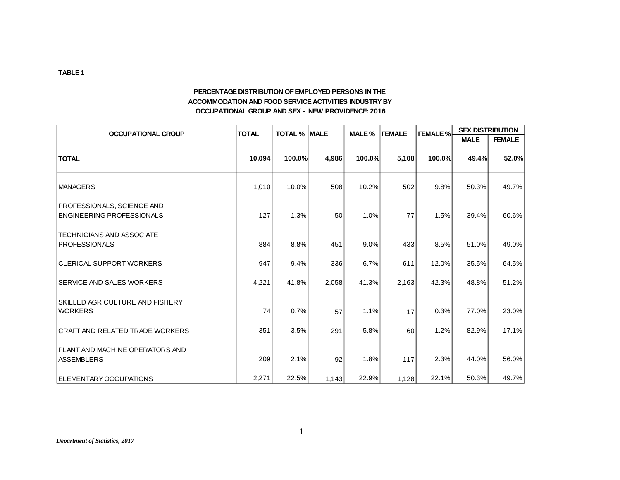#### **PERCENTAGE DISTRIBUTION OF EMPLOYED PERSONS IN THE ACCOMMODATION AND FOOD SERVICE ACTIVITIES INDUSTRY BY OCCUPATIONAL GROUP AND SEX - NEW PROVIDENCE: 2016**

| <b>OCCUPATIONAL GROUP</b>                                             | <b>TOTAL</b> | <b>TOTAL % MALE</b> |       | MALE%  | <b>FEMALE</b> | <b>FEMALE %</b> |             | <b>SEX DISTRIBUTION</b> |  |  |
|-----------------------------------------------------------------------|--------------|---------------------|-------|--------|---------------|-----------------|-------------|-------------------------|--|--|
|                                                                       |              |                     |       |        |               |                 | <b>MALE</b> | <b>FEMALE</b>           |  |  |
| <b>TOTAL</b>                                                          | 10,094       | 100.0%              | 4,986 | 100.0% | 5,108         | 100.0%          | 49.4%       | 52.0%                   |  |  |
| <b>MANAGERS</b>                                                       | 1,010        | 10.0%               | 508   | 10.2%  | 502           | 9.8%            | 50.3%       | 49.7%                   |  |  |
| <b>PROFESSIONALS, SCIENCE AND</b><br><b>ENGINEERING PROFESSIONALS</b> | 127          | 1.3%                | 50    | 1.0%   | 77            | 1.5%            | 39.4%       | 60.6%                   |  |  |
| ITECHNICIANS AND ASSOCIATE<br><b>IPROFESSIONALS</b>                   | 884          | 8.8%                | 451   | 9.0%   | 433           | 8.5%            | 51.0%       | 49.0%                   |  |  |
| ICLERICAL SUPPORT WORKERS                                             | 947          | 9.4%                | 336   | 6.7%   | 611           | 12.0%           | 35.5%       | 64.5%                   |  |  |
| ISERVICE AND SALES WORKERS                                            | 4,221        | 41.8%               | 2,058 | 41.3%  | 2,163         | 42.3%           | 48.8%       | 51.2%                   |  |  |
| SKILLED AGRICULTURE AND FISHERY<br><b>WORKERS</b>                     | 74           | 0.7%                | 57    | 1.1%   | 17            | 0.3%            | 77.0%       | 23.0%                   |  |  |
| ICRAFT AND RELATED TRADE WORKERS                                      | 351          | 3.5%                | 291   | 5.8%   | 60            | 1.2%            | 82.9%       | 17.1%                   |  |  |
| <b>IPLANT AND MACHINE OPERATORS AND</b><br><b>ASSEMBLERS</b>          | 209          | 2.1%                | 92    | 1.8%   | 117           | 2.3%            | 44.0%       | 56.0%                   |  |  |
| IELEMENTARY OCCUPATIONS                                               | 2,271        | 22.5%               | 1,143 | 22.9%  | 1,128         | 22.1%           | 50.3%       | 49.7%                   |  |  |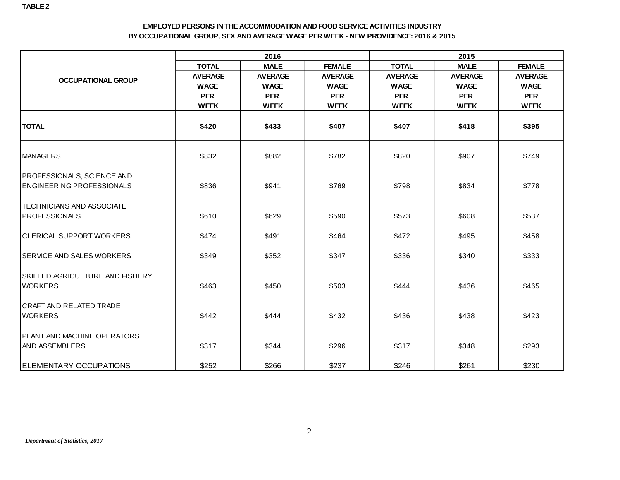#### **EMPLOYED PERSONS IN THE ACCOMMODATION AND FOOD SERVICE ACTIVITIES INDUSTRY BY OCCUPATIONAL GROUP, SEX AND AVERAGE WAGE PER WEEK - NEW PROVIDENCE: 2016 & 2015**

|                                                                       |                | 2016           |                | 2015           |                |                |  |  |  |
|-----------------------------------------------------------------------|----------------|----------------|----------------|----------------|----------------|----------------|--|--|--|
|                                                                       | <b>TOTAL</b>   | <b>MALE</b>    | <b>FEMALE</b>  | <b>TOTAL</b>   | <b>MALE</b>    | <b>FEMALE</b>  |  |  |  |
| <b>OCCUPATIONAL GROUP</b>                                             | <b>AVERAGE</b> | <b>AVERAGE</b> | <b>AVERAGE</b> | <b>AVERAGE</b> | <b>AVERAGE</b> | <b>AVERAGE</b> |  |  |  |
|                                                                       | <b>WAGE</b>    | <b>WAGE</b>    | <b>WAGE</b>    | <b>WAGE</b>    | <b>WAGE</b>    | <b>WAGE</b>    |  |  |  |
|                                                                       | <b>PER</b>     | <b>PER</b>     | <b>PER</b>     | <b>PER</b>     | <b>PER</b>     | <b>PER</b>     |  |  |  |
|                                                                       | <b>WEEK</b>    | <b>WEEK</b>    | <b>WEEK</b>    | <b>WEEK</b>    | <b>WEEK</b>    | <b>WEEK</b>    |  |  |  |
| <b>TOTAL</b>                                                          | \$420          | \$433          | \$407          | \$407          | \$418          | \$395          |  |  |  |
| <b>IMANAGERS</b>                                                      | \$832          | \$882          | \$782          | \$820          | \$907          | \$749          |  |  |  |
| <b>PROFESSIONALS, SCIENCE AND</b><br><b>ENGINEERING PROFESSIONALS</b> | \$836          | \$941          | \$769          | \$798          | \$834          | \$778          |  |  |  |
| <b>TECHNICIANS AND ASSOCIATE</b>                                      |                |                |                |                |                |                |  |  |  |
| <b>PROFESSIONALS</b>                                                  | \$610          | \$629          | \$590          | \$573          | \$608          | \$537          |  |  |  |
| ICLERICAL SUPPORT WORKERS                                             | \$474          | \$491          | \$464          | \$472          | \$495          | \$458          |  |  |  |
| <b>SERVICE AND SALES WORKERS</b>                                      | \$349          | \$352          | \$347          | \$336          | \$340          | \$333          |  |  |  |
| ISKILLED AGRICULTURE AND FISHERY<br><b>WORKERS</b>                    | \$463          | \$450          | \$503          | \$444          | \$436          | \$465          |  |  |  |
| ICRAFT AND RELATED TRADE<br><b>WORKERS</b>                            | \$442          | \$444          | \$432          | \$436          | \$438          | \$423          |  |  |  |
| <b>PLANT AND MACHINE OPERATORS</b><br>IAND ASSEMBLERS                 | \$317          | \$344          | \$296          | \$317          | \$348          | \$293          |  |  |  |
| <b>ELEMENTARY OCCUPATIONS</b>                                         | \$252          | \$266          | \$237          | \$246          | \$261          | \$230          |  |  |  |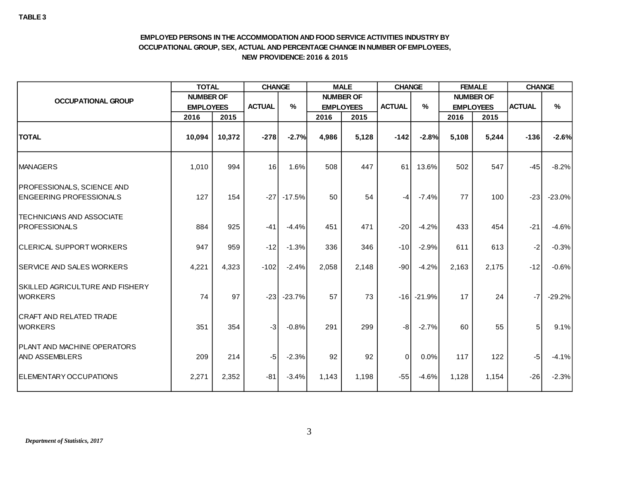#### **EMPLOYED PERSONS IN THE ACCOMMODATION AND FOOD SERVICE ACTIVITIES INDUSTRY BY OCCUPATIONAL GROUP, SEX, ACTUAL AND PERCENTAGE CHANGE IN NUMBER OF EMPLOYEES, NEW PROVIDENCE: 2016 & 2015**

|                                                                     | <b>TOTAL</b>     |        | <b>CHANGE</b>         |          |                  | <b>MALE</b>      | <b>CHANGE</b> |                | <b>FEMALE</b>    |                  | <b>CHANGE</b> |          |
|---------------------------------------------------------------------|------------------|--------|-----------------------|----------|------------------|------------------|---------------|----------------|------------------|------------------|---------------|----------|
| <b>OCCUPATIONAL GROUP</b>                                           | <b>NUMBER OF</b> |        |                       |          |                  | <b>NUMBER OF</b> |               |                |                  | <b>NUMBER OF</b> |               |          |
|                                                                     | <b>EMPLOYEES</b> |        | <b>ACTUAL</b><br>$\%$ |          | <b>EMPLOYEES</b> |                  | <b>ACTUAL</b> | $\%$           | <b>EMPLOYEES</b> |                  | <b>ACTUAL</b> | $\%$     |
|                                                                     | 2016             | 2015   |                       |          | 2016             | 2015             |               |                | 2016             | 2015             |               |          |
| <b>TOTAL</b>                                                        | 10,094           | 10,372 | $-278$                | $-2.7%$  | 4,986            | 5,128            | $-142$        | $-2.8%$        | 5,108            | 5,244            | $-136$        | $-2.6%$  |
| <b>MANAGERS</b>                                                     | 1,010            | 994    | 16                    | 1.6%     | 508              | 447              | 61            | 13.6%          | 502              | 547              | $-45$         | $-8.2%$  |
| <b>PROFESSIONALS, SCIENCE AND</b><br><b>ENGEERING PROFESSIONALS</b> | 127              | 154    | $-27$                 | $-17.5%$ | 50               | 54               | $-4$          | $-7.4%$        | 77               | 100              | $-23$         | $-23.0%$ |
| <b>TECHNICIANS AND ASSOCIATE</b><br><b>PROFESSIONALS</b>            | 884              | 925    | $-41$                 | $-4.4%$  | 451              | 471              | $-20$         | $-4.2%$        | 433              | 454              | $-21$         | $-4.6%$  |
| <b>CLERICAL SUPPORT WORKERS</b>                                     | 947              | 959    | $-12$                 | $-1.3%$  | 336              | 346              | $-101$        | $-2.9%$        | 611              | 613              | $-2$          | $-0.3%$  |
| <b>SERVICE AND SALES WORKERS</b>                                    | 4,221            | 4,323  | $-102$                | $-2.4%$  | 2,058            | 2,148            | $-90$         | $-4.2%$        | 2,163            | 2,175            | $-12$         | $-0.6%$  |
| SKILLED AGRICULTURE AND FISHERY<br><b>WORKERS</b>                   | 74               | 97     | $-23$                 | $-23.7%$ | 57               | 73               |               | $-16$ $-21.9%$ | 17               | 24               | $-7$          | $-29.2%$ |
| <b>CRAFT AND RELATED TRADE</b><br><b>WORKERS</b>                    | 351              | 354    | $-3$                  | $-0.8%$  | 291              | 299              | $-8$          | $-2.7%$        | 60               | 55               | 5             | 9.1%     |
| <b>IPLANT AND MACHINE OPERATORS</b><br><b>AND ASSEMBLERS</b>        | 209              | 214    | $-5$                  | $-2.3%$  | 92               | 92               | $\mathbf 0$   | 0.0%           | 117              | 122              | -5            | $-4.1%$  |
| ELEMENTARY OCCUPATIONS                                              | 2,271            | 2,352  | $-81$                 | $-3.4%$  | 1,143            | 1,198            | $-55$         | $-4.6%$        | 1,128            | 1,154            | $-26$         | $-2.3%$  |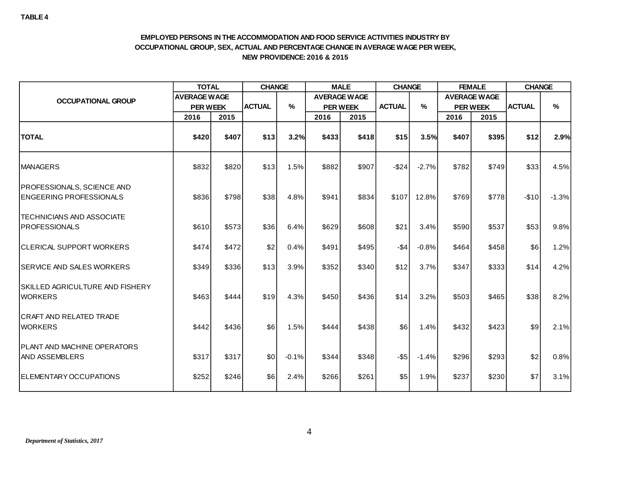#### **EMPLOYED PERSONS IN THE ACCOMMODATION AND FOOD SERVICE ACTIVITIES INDUSTRY BY OCCUPATIONAL GROUP, SEX, ACTUAL AND PERCENTAGE CHANGE IN AVERAGE WAGE PER WEEK, NEW PROVIDENCE: 2016 & 2015**

|                                                                     | <b>TOTAL</b>        |       | <b>CHANGE</b> |         | <b>MALE</b> |                     | <b>CHANGE</b> |         | <b>FEMALE</b> |                     | <b>CHANGE</b> |         |
|---------------------------------------------------------------------|---------------------|-------|---------------|---------|-------------|---------------------|---------------|---------|---------------|---------------------|---------------|---------|
| <b>OCCUPATIONAL GROUP</b>                                           | <b>AVERAGE WAGE</b> |       |               |         |             | <b>AVERAGE WAGE</b> |               |         |               | <b>AVERAGE WAGE</b> |               |         |
|                                                                     | <b>PER WEEK</b>     |       | <b>ACTUAL</b> | $\%$    |             | <b>PER WEEK</b>     |               | $\%$    |               | <b>PER WEEK</b>     | <b>ACTUAL</b> | $\%$    |
|                                                                     | 2016                | 2015  |               |         | 2016        | 2015                |               |         | 2016          | 2015                |               |         |
| <b>TOTAL</b>                                                        | \$420               | \$407 | \$13          | 3.2%    | \$433       | \$418               | \$15          | 3.5%    | \$407         | \$395               | \$12          | 2.9%    |
| <b>MANAGERS</b>                                                     | \$832               | \$820 | \$13          | 1.5%    | \$882       | \$907               | $-$24$        | $-2.7%$ | \$782         | \$749               | \$33          | 4.5%    |
| <b>PROFESSIONALS, SCIENCE AND</b><br><b>ENGEERING PROFESSIONALS</b> | \$836               | \$798 | \$38          | 4.8%    | \$941       | \$834               | \$107         | 12.8%   | \$769         | \$778               | $-$10$        | $-1.3%$ |
| <b>TECHNICIANS AND ASSOCIATE</b><br><b>IPROFESSIONALS</b>           | \$610               | \$573 | \$36          | 6.4%    | \$629       | \$608               | \$21          | 3.4%    | \$590         | \$537               | \$53          | 9.8%    |
| <b>CLERICAL SUPPORT WORKERS</b>                                     | \$474               | \$472 | \$2           | 0.4%    | \$491       | \$495               | $-$ \$4       | $-0.8%$ | \$464         | \$458               | \$6           | 1.2%    |
| <b>SERVICE AND SALES WORKERS</b>                                    | \$349               | \$336 | \$13          | 3.9%    | \$352       | \$340               | \$12          | 3.7%    | \$347         | \$333               | \$14          | 4.2%    |
| ISKILLED AGRICULTURE AND FISHERY<br><b>WORKERS</b>                  | \$463               | \$444 | \$19          | 4.3%    | \$450       | \$436               | \$14          | 3.2%    | \$503         | \$465               | \$38          | 8.2%    |
| <b>CRAFT AND RELATED TRADE</b><br><b>WORKERS</b>                    | \$442               | \$436 | \$6           | 1.5%    | \$444       | \$438               | \$6           | 1.4%    | \$432         | \$423               | \$9           | 2.1%    |
| <b>IPLANT AND MACHINE OPERATORS</b><br>IAND ASSEMBLERS              | \$317               | \$317 | \$0           | $-0.1%$ | \$344       | \$348               | $-$ \$5       | $-1.4%$ | \$296         | \$293               | \$2           | 0.8%    |
| <b>IELEMENTARY OCCUPATIONS</b>                                      | \$252               | \$246 | \$6           | 2.4%    | \$266       | \$261               | \$5           | 1.9%    | \$237         | \$230               | \$7           | 3.1%    |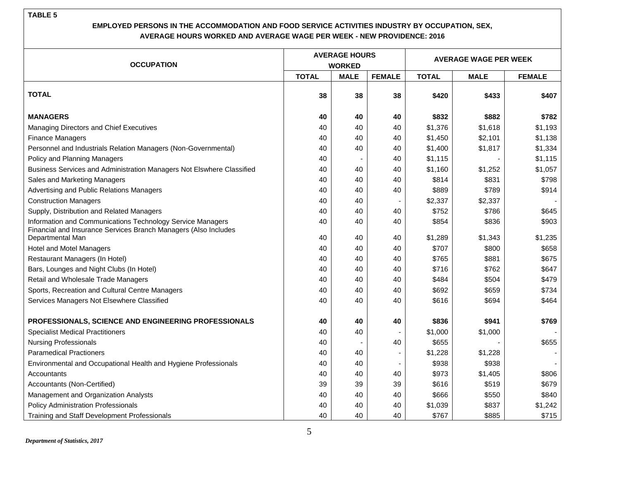|                                                                                                                               |              | <b>AVERAGE HOURS</b> |                          | <b>AVERAGE WAGE PER WEEK</b> |             |               |  |  |
|-------------------------------------------------------------------------------------------------------------------------------|--------------|----------------------|--------------------------|------------------------------|-------------|---------------|--|--|
| <b>OCCUPATION</b>                                                                                                             |              | <b>WORKED</b>        |                          |                              |             |               |  |  |
|                                                                                                                               | <b>TOTAL</b> | <b>MALE</b>          | <b>FEMALE</b>            | <b>TOTAL</b>                 | <b>MALE</b> | <b>FEMALE</b> |  |  |
| <b>TOTAL</b>                                                                                                                  | 38           | 38                   | 38                       | \$420                        | \$433       | \$407         |  |  |
| <b>MANAGERS</b>                                                                                                               | 40           | 40                   | 40                       | \$832                        | \$882       | \$782         |  |  |
| Managing Directors and Chief Executives                                                                                       | 40           | 40                   | 40                       | \$1,376                      | \$1,618     | \$1,193       |  |  |
| <b>Finance Managers</b>                                                                                                       | 40           | 40                   | 40                       | \$1,450                      | \$2,101     | \$1,138       |  |  |
| Personnel and Industrials Relation Managers (Non-Governmental)                                                                | 40           | 40                   | 40                       | \$1,400                      | \$1,817     | \$1,334       |  |  |
| Policy and Planning Managers                                                                                                  | 40           |                      | 40                       | \$1,115                      |             | \$1,115       |  |  |
| Business Services and Administration Managers Not Elswhere Classified                                                         | 40           | 40                   | 40                       | \$1,160                      | \$1,252     | \$1,057       |  |  |
| Sales and Marketing Managers                                                                                                  | 40           | 40                   | 40                       | \$814                        | \$831       | \$798         |  |  |
| Advertising and Public Relations Managers                                                                                     | 40           | 40                   | 40                       | \$889                        | \$789       | \$914         |  |  |
| <b>Construction Managers</b>                                                                                                  | 40           | 40                   |                          | \$2,337                      | \$2,337     |               |  |  |
| Supply, Distribution and Related Managers                                                                                     | 40           | 40                   | 40                       | \$752                        | \$786       | \$645         |  |  |
| Information and Communications Technology Service Managers<br>Financial and Insurance Services Branch Managers (Also Includes | 40           | 40                   | 40                       | \$854                        | \$836       | \$903         |  |  |
| Departmental Man                                                                                                              | 40           | 40                   | 40                       | \$1,289                      | \$1,343     | \$1,235       |  |  |
| <b>Hotel and Motel Managers</b>                                                                                               | 40           | 40                   | 40                       | \$707                        | \$800       | \$658         |  |  |
| Restaurant Managers (In Hotel)                                                                                                | 40           | 40                   | 40                       | \$765                        | \$881       | \$675         |  |  |
| Bars, Lounges and Night Clubs (In Hotel)                                                                                      | 40           | 40                   | 40                       | \$716                        | \$762       | \$647         |  |  |
| Retail and Wholesale Trade Managers                                                                                           | 40           | 40                   | 40                       | \$484                        | \$504       | \$479         |  |  |
| Sports, Recreation and Cultural Centre Managers                                                                               | 40           | 40                   | 40                       | \$692                        | \$659       | \$734         |  |  |
| Services Managers Not Elsewhere Classified                                                                                    | 40           | 40                   | 40                       | \$616                        | \$694       | \$464         |  |  |
| PROFESSIONALS, SCIENCE AND ENGINEERING PROFESSIONALS                                                                          | 40           | 40                   | 40                       | \$836                        | \$941       | \$769         |  |  |
| <b>Specialist Medical Practitioners</b>                                                                                       | 40           | 40                   |                          | \$1,000                      | \$1,000     |               |  |  |
| <b>Nursing Professionals</b>                                                                                                  | 40           |                      | 40                       | \$655                        |             | \$655         |  |  |
| <b>Paramedical Practioners</b>                                                                                                | 40           | 40                   |                          | \$1,228                      | \$1,228     |               |  |  |
| Environmental and Occupational Health and Hygiene Professionals                                                               | 40           | 40                   | $\overline{\phantom{a}}$ | \$938                        | \$938       |               |  |  |
| Accountants                                                                                                                   | 40           | 40                   | 40                       | \$973                        | \$1,405     | \$806         |  |  |
| Accountants (Non-Certified)                                                                                                   | 39           | 39                   | 39                       | \$616                        | \$519       | \$679         |  |  |
| Management and Organization Analysts                                                                                          | 40           | 40                   | 40                       | \$666                        | \$550       | \$840         |  |  |
| <b>Policy Administration Professionals</b>                                                                                    | 40           | 40                   | 40                       | \$1,039                      | \$837       | \$1,242       |  |  |
| Training and Staff Development Professionals                                                                                  | 40           | 40                   | 40                       | \$767                        | \$885       | \$715         |  |  |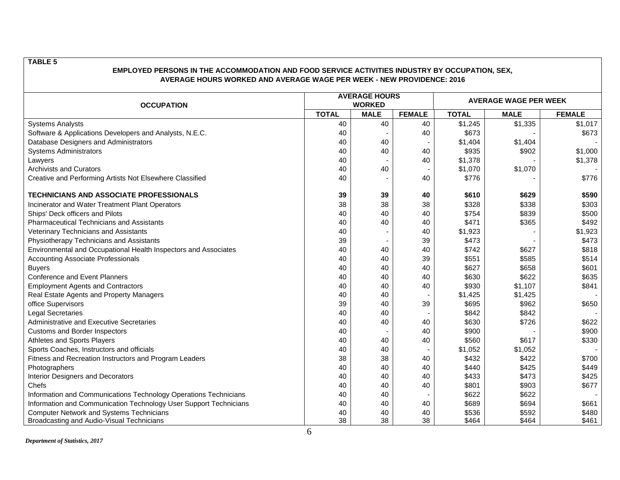| <b>OCCUPATION</b>                                                 |              | <b>AVERAGE HOURS</b><br><b>WORKED</b> |               | <b>AVERAGE WAGE PER WEEK</b> |             |               |  |  |
|-------------------------------------------------------------------|--------------|---------------------------------------|---------------|------------------------------|-------------|---------------|--|--|
|                                                                   | <b>TOTAL</b> | <b>MALE</b>                           | <b>FEMALE</b> | <b>TOTAL</b>                 | <b>MALE</b> | <b>FEMALE</b> |  |  |
| <b>Systems Analysts</b>                                           | 40           | 40                                    | 40            | \$1,245                      | \$1,335     | \$1,017       |  |  |
| Software & Applications Developers and Analysts, N.E.C.           | 40           |                                       | 40            | \$673                        |             | \$673         |  |  |
| Database Designers and Administrators                             | 40           | 40                                    |               | \$1,404                      | \$1,404     |               |  |  |
| <b>Systems Administrators</b>                                     | 40           | 40                                    | 40            | \$935                        | \$902       | \$1,000       |  |  |
| Lawyers                                                           | 40           |                                       | 40            | \$1,378                      |             | \$1,378       |  |  |
| <b>Archivists and Curators</b>                                    | 40           | 40                                    |               | \$1,070                      | \$1,070     |               |  |  |
| Creative and Performing Artists Not Elsewhere Classified          | 40           |                                       | 40            | \$776                        |             | \$776         |  |  |
| TECHNICIANS AND ASSOCIATE PROFESSIONALS                           | 39           | 39                                    | 40            | \$610                        | \$629       | \$590         |  |  |
| Incinerator and Water Treatment Plant Operators                   | 38           | 38                                    | 38            | \$328                        | \$338       | \$303         |  |  |
| Ships' Deck officers and Pilots                                   | 40           | 40                                    | 40            | \$754                        | \$839       | \$500         |  |  |
| <b>Pharmaceutical Technicians and Assistants</b>                  | 40           | 40                                    | 40            | \$471                        | \$365       | \$492         |  |  |
| Veterinary Technicians and Assistants                             | 40           |                                       | 40            | \$1,923                      |             | \$1,923       |  |  |
| Physiotherapy Technicians and Assistants                          | 39           |                                       | 39            | \$473                        |             | \$473         |  |  |
| Environmental and Occupational Health Inspectors and Associates   | 40           | 40                                    | 40            | \$742                        | \$627       | \$818         |  |  |
| <b>Accounting Associate Professionals</b>                         | 40           | 40                                    | 39            | \$551                        | \$585       | \$514         |  |  |
| <b>Buyers</b>                                                     | 40           | 40                                    | 40            | \$627                        | \$658       | \$601         |  |  |
| <b>Conference and Event Planners</b>                              | 40           | 40                                    | 40            | \$630                        | \$622       | \$635         |  |  |
| <b>Employment Agents and Contractors</b>                          | 40           | 40                                    | 40            | \$930                        | \$1,107     | \$841         |  |  |
| Real Estate Agents and Property Managers                          | 40           | 40                                    |               | \$1,425                      | \$1,425     |               |  |  |
| office Supervisors                                                | 39           | 40                                    | 39            | \$695                        | \$962       | \$650         |  |  |
| <b>Legal Secretaries</b>                                          | 40           | 40                                    |               | \$842                        | \$842       |               |  |  |
| <b>Administrative and Executive Secretaries</b>                   | 40           | 40                                    | 40            | \$630                        | \$726       | \$622         |  |  |
| Customs and Border Inspectors                                     | 40           |                                       | 40            | \$900                        |             | \$900         |  |  |
| Athletes and Sports Players                                       | 40           | 40                                    | 40            | \$560                        | \$617       | \$330         |  |  |
| Sports Coaches, Instructors and officials                         | 40           | 40                                    |               | \$1,052                      | \$1,052     |               |  |  |
| Fitness and Recreation Instructors and Program Leaders            | 38           | 38                                    | 40            | \$432                        | \$422       | \$700         |  |  |
| Photographers                                                     | 40           | 40                                    | 40            | \$440                        | \$425       | \$449         |  |  |
| Interior Designers and Decorators                                 | 40           | 40                                    | 40            | \$433                        | \$473       | \$425         |  |  |
| Chefs                                                             | 40           | 40                                    | 40            | \$801                        | \$903       | \$677         |  |  |
| Information and Communications Technology Operations Technicians  | 40           | 40                                    |               | \$622                        | \$622       |               |  |  |
| Information and Communication Technology User Support Technicians | 40           | 40                                    | 40            | \$689                        | \$694       | \$661         |  |  |
| <b>Computer Network and Systems Technicians</b>                   | 40           | 40                                    | 40            | \$536                        | \$592       | \$480         |  |  |
| Broadcasting and Audio-Visual Technicians                         | 38           | 38                                    | 38            | \$464                        | \$464       | \$461         |  |  |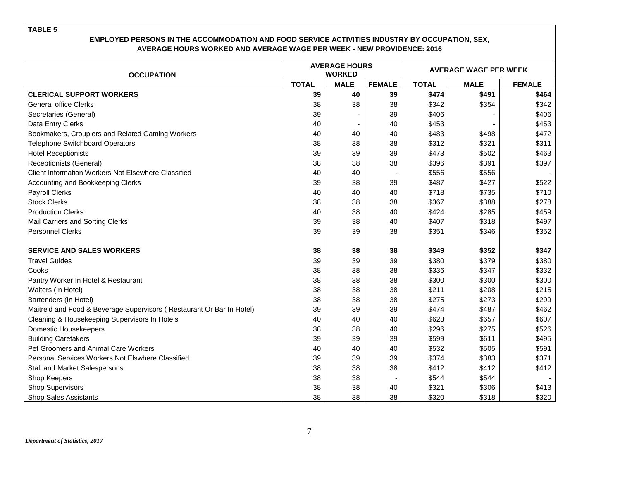| <b>OCCUPATION</b>                                                     |              | <b>AVERAGE HOURS</b><br><b>WORKED</b> |               | <b>AVERAGE WAGE PER WEEK</b> |             |               |  |  |
|-----------------------------------------------------------------------|--------------|---------------------------------------|---------------|------------------------------|-------------|---------------|--|--|
|                                                                       | <b>TOTAL</b> | <b>MALE</b>                           | <b>FEMALE</b> | <b>TOTAL</b>                 | <b>MALE</b> | <b>FEMALE</b> |  |  |
| <b>CLERICAL SUPPORT WORKERS</b>                                       | 39           | 40                                    | 39            | \$474                        | \$491       | \$464         |  |  |
| <b>General office Clerks</b>                                          | 38           | 38                                    | 38            | \$342                        | \$354       | \$342         |  |  |
| Secretaries (General)                                                 | 39           |                                       | 39            | \$406                        |             | \$406         |  |  |
| Data Entry Clerks                                                     | 40           |                                       | 40            | \$453                        |             | \$453         |  |  |
| Bookmakers, Croupiers and Related Gaming Workers                      | 40           | 40                                    | 40            | \$483                        | \$498       | \$472         |  |  |
| <b>Telephone Switchboard Operators</b>                                | 38           | 38                                    | 38            | \$312                        | \$321       | \$311         |  |  |
| <b>Hotel Receptionists</b>                                            | 39           | 39                                    | 39            | \$473                        | \$502       | \$463         |  |  |
| Receptionists (General)                                               | 38           | 38                                    | 38            | \$396                        | \$391       | \$397         |  |  |
| <b>Client Information Workers Not Elsewhere Classified</b>            | 40           | 40                                    |               | \$556                        | \$556       |               |  |  |
| Accounting and Bookkeeping Clerks                                     | 39           | 38                                    | 39            | \$487                        | \$427       | \$522         |  |  |
| <b>Payroll Clerks</b>                                                 | 40           | 40                                    | 40            | \$718                        | \$735       | \$710         |  |  |
| <b>Stock Clerks</b>                                                   | 38           | 38                                    | 38            | \$367                        | \$388       | \$278         |  |  |
| <b>Production Clerks</b>                                              | 40           | 38                                    | 40            | \$424                        | \$285       | \$459         |  |  |
| Mail Carriers and Sorting Clerks                                      | 39           | 38                                    | 40            | \$407                        | \$318       | \$497         |  |  |
| Personnel Clerks                                                      | 39           | 39                                    | 38            | \$351                        | \$346       | \$352         |  |  |
| <b>SERVICE AND SALES WORKERS</b>                                      | 38           | 38                                    | 38            | \$349                        | \$352       | \$347         |  |  |
| <b>Travel Guides</b>                                                  | 39           | 39                                    | 39            | \$380                        | \$379       | \$380         |  |  |
| Cooks                                                                 | 38           | 38                                    | 38            | \$336                        | \$347       | \$332         |  |  |
| Pantry Worker In Hotel & Restaurant                                   | 38           | 38                                    | 38            | \$300                        | \$300       | \$300         |  |  |
| Waiters (In Hotel)                                                    | 38           | 38                                    | 38            | \$211                        | \$208       | \$215         |  |  |
| Bartenders (In Hotel)                                                 | 38           | 38                                    | 38            | \$275                        | \$273       | \$299         |  |  |
| Maitre'd and Food & Beverage Supervisors (Restaurant Or Bar In Hotel) | 39           | 39                                    | 39            | \$474                        | \$487       | \$462         |  |  |
| Cleaning & Housekeeping Supervisors In Hotels                         | 40           | 40                                    | 40            | \$628                        | \$657       | \$607         |  |  |
| Domestic Housekeepers                                                 | 38           | 38                                    | 40            | \$296                        | \$275       | \$526         |  |  |
| <b>Building Caretakers</b>                                            | 39           | 39                                    | 39            | \$599                        | \$611       | \$495         |  |  |
| Pet Groomers and Animal Care Workers                                  | 40           | 40                                    | 40            | \$532                        | \$505       | \$591         |  |  |
| Personal Services Workers Not Elswhere Classified                     | 39           | 39                                    | 39            | \$374                        | \$383       | \$371         |  |  |
| Stall and Market Salespersons                                         | 38           | 38                                    | 38            | \$412                        | \$412       | \$412         |  |  |
| Shop Keepers                                                          | 38           | 38                                    |               | \$544                        | \$544       |               |  |  |
| <b>Shop Supervisors</b>                                               | 38           | 38                                    | 40            | \$321                        | \$306       | \$413         |  |  |
| <b>Shop Sales Assistants</b>                                          | 38           | 38                                    | 38            | \$320                        | \$318       | \$320         |  |  |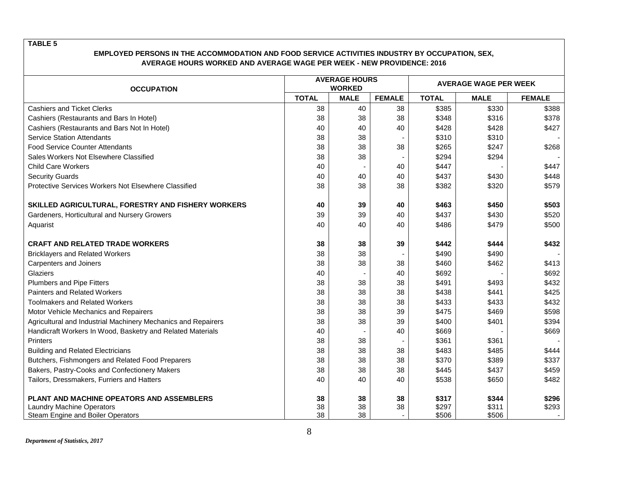| <b>OCCUPATION</b>                                             |              | <b>AVERAGE HOURS</b><br><b>WORKED</b> |               | <b>AVERAGE WAGE PER WEEK</b> |             |               |  |  |
|---------------------------------------------------------------|--------------|---------------------------------------|---------------|------------------------------|-------------|---------------|--|--|
|                                                               | <b>TOTAL</b> | <b>MALE</b>                           | <b>FEMALE</b> | <b>TOTAL</b>                 | <b>MALE</b> | <b>FEMALE</b> |  |  |
| <b>Cashiers and Ticket Clerks</b>                             | 38           | 40                                    | 38            | \$385                        | \$330       | \$388         |  |  |
| Cashiers (Restaurants and Bars In Hotel)                      | 38           | 38                                    | 38            | \$348                        | \$316       | \$378         |  |  |
| Cashiers (Restaurants and Bars Not In Hotel)                  | 40           | 40                                    | 40            | \$428                        | \$428       | \$427         |  |  |
| <b>Service Station Attendants</b>                             | 38           | 38                                    |               | \$310                        | \$310       |               |  |  |
| <b>Food Service Counter Attendants</b>                        | 38           | 38                                    | 38            | \$265                        | \$247       | \$268         |  |  |
| Sales Workers Not Elsewhere Classified                        | 38           | 38                                    |               | \$294                        | \$294       |               |  |  |
| <b>Child Care Workers</b>                                     | 40           |                                       | 40            | \$447                        |             | \$447         |  |  |
| <b>Security Guards</b>                                        | 40           | 40                                    | 40            | \$437                        | \$430       | \$448         |  |  |
| Protective Services Workers Not Elsewhere Classified          | 38           | 38                                    | 38            | \$382                        | \$320       | \$579         |  |  |
| SKILLED AGRICULTURAL, FORESTRY AND FISHERY WORKERS            | 40           | 39                                    | 40            | \$463                        | \$450       | \$503         |  |  |
| Gardeners, Horticultural and Nursery Growers                  | 39           | 39                                    | 40            | \$437                        | \$430       | \$520         |  |  |
| Aquarist                                                      | 40           | 40                                    | 40            | \$486                        | \$479       | \$500         |  |  |
| <b>CRAFT AND RELATED TRADE WORKERS</b>                        | 38           | 38                                    | 39            | \$442                        | \$444       | \$432         |  |  |
| <b>Bricklayers and Related Workers</b>                        | 38           | 38                                    |               | \$490                        | \$490       |               |  |  |
| Carpenters and Joiners                                        | 38           | 38                                    | 38            | \$460                        | \$462       | \$413         |  |  |
| Glaziers                                                      | 40           |                                       | 40            | \$692                        |             | \$692         |  |  |
| Plumbers and Pipe Fitters                                     | 38           | 38                                    | 38            | \$491                        | \$493       | \$432         |  |  |
| <b>Painters and Related Workers</b>                           | 38           | 38                                    | 38            | \$438                        | \$441       | \$425         |  |  |
| <b>Toolmakers and Related Workers</b>                         | 38           | 38                                    | 38            | \$433                        | \$433       | \$432         |  |  |
| Motor Vehicle Mechanics and Repairers                         | 38           | 38                                    | 39            | \$475                        | \$469       | \$598         |  |  |
| Agricultural and Industrial Machinery Mechanics and Repairers | 38           | 38                                    | 39            | \$400                        | \$401       | \$394         |  |  |
| Handicraft Workers In Wood, Basketry and Related Materials    | 40           |                                       | 40            | \$669                        |             | \$669         |  |  |
| <b>Printers</b>                                               | 38           | 38                                    |               | \$361                        | \$361       |               |  |  |
| <b>Building and Related Electricians</b>                      | 38           | 38                                    | 38            | \$483                        | \$485       | \$444         |  |  |
| Butchers, Fishmongers and Related Food Preparers              | 38           | 38                                    | 38            | \$370                        | \$389       | \$337         |  |  |
| Bakers, Pastry-Cooks and Confectionery Makers                 | 38           | 38                                    | 38            | \$445                        | \$437       | \$459         |  |  |
| Tailors, Dressmakers, Furriers and Hatters                    | 40           | 40                                    | 40            | \$538                        | \$650       | \$482         |  |  |
| PLANT AND MACHINE OPEATORS AND ASSEMBLERS                     | 38           | 38                                    | 38            | \$317                        | \$344       | \$296         |  |  |
| <b>Laundry Machine Operators</b>                              | 38           | 38                                    | 38            | \$297                        | \$311       | \$293         |  |  |
| Steam Engine and Boiler Operators                             | 38           | 38                                    |               | \$506                        | \$506       |               |  |  |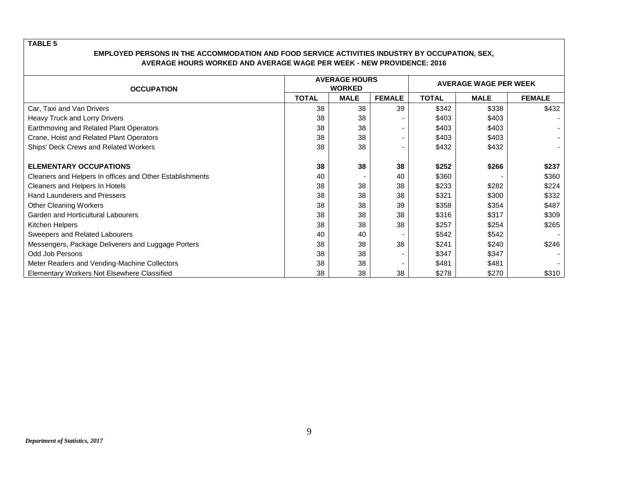| <b>OCCUPATION</b>                                        |              | <b>AVERAGE HOURS</b><br><b>WORKED</b> |                          | <b>AVERAGE WAGE PER WEEK</b> |             |               |  |  |
|----------------------------------------------------------|--------------|---------------------------------------|--------------------------|------------------------------|-------------|---------------|--|--|
|                                                          | <b>TOTAL</b> | <b>MALE</b>                           | <b>FEMALE</b>            | <b>TOTAL</b>                 | <b>MALE</b> | <b>FEMALE</b> |  |  |
| Car, Taxi and Van Drivers                                | 38           | 38                                    | 39                       | \$342                        | \$338       | \$432         |  |  |
| Heavy Truck and Lorry Drivers                            | 38           | 38                                    | ۰                        | \$403                        | \$403       |               |  |  |
| Earthmoving and Related Plant Operators                  | 38           | 38                                    | ۰                        | \$403                        | \$403       |               |  |  |
| Crane, Hoist and Related Plant Operators                 | 38           | 38                                    | $\overline{\phantom{a}}$ | \$403                        | \$403       |               |  |  |
| Ships' Deck Crews and Related Workers                    | 38           | 38                                    | $\overline{\phantom{a}}$ | \$432                        | \$432       |               |  |  |
|                                                          |              |                                       |                          |                              |             |               |  |  |
| <b>ELEMENTARY OCCUPATIONS</b>                            | 38           | 38                                    | 38                       | \$252                        | \$266       | \$237         |  |  |
| Cleaners and Helpers In offices and Other Establishments | 40           |                                       | 40                       | \$360                        |             | \$360         |  |  |
| Cleaners and Helpers In Hotels                           | 38           | 38                                    | 38                       | \$233                        | \$282       | \$224         |  |  |
| <b>Hand Launderers and Pressers</b>                      | 38           | 38                                    | 38                       | \$321                        | \$300       | \$332         |  |  |
| <b>Other Cleaning Workers</b>                            | 38           | 38                                    | 39                       | \$358                        | \$354       | \$487         |  |  |
| Garden and Horticultural Labourers                       | 38           | 38                                    | 38                       | \$316                        | \$317       | \$309         |  |  |
| Kitchen Helpers                                          | 38           | 38                                    | 38                       | \$257                        | \$254       | \$265         |  |  |
| Sweepers and Related Labourers                           | 40           | 40                                    |                          | \$542                        | \$542       |               |  |  |
| Messengers, Package Deliverers and Luggage Porters       | 38           | 38                                    | 38                       | \$241                        | \$240       | \$246         |  |  |
| Odd Job Persons                                          | 38           | 38                                    | ۰                        | \$347                        | \$347       |               |  |  |
| Meter Readers and Vending-Machine Collectors             | 38           | 38                                    | $\overline{\phantom{a}}$ | \$481                        | \$481       |               |  |  |
| Elementary Workers Not Elsewhere Classified              | 38           | 38                                    | 38                       | \$278                        | \$270       | \$310         |  |  |